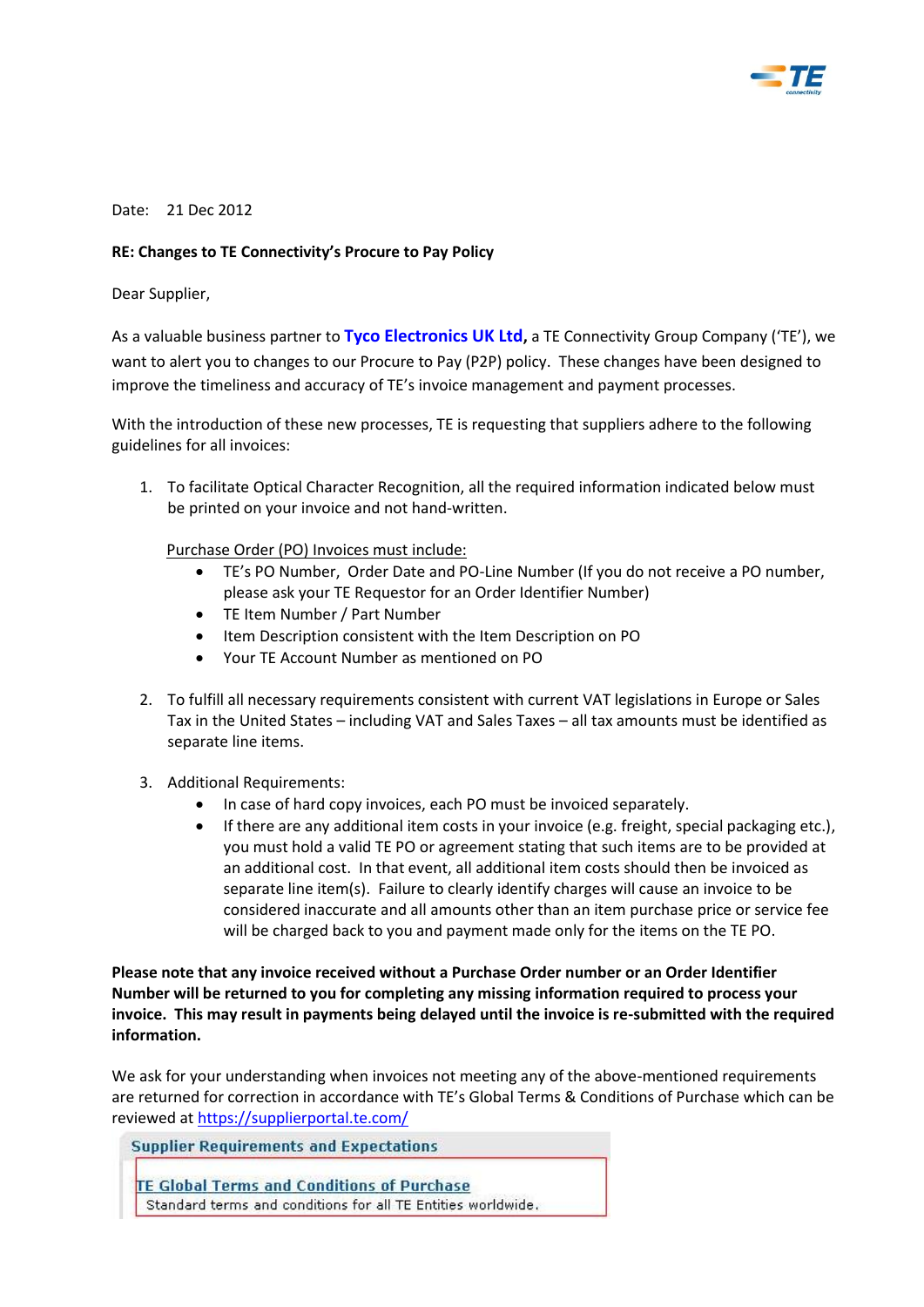

## Date: 21 Dec 2012

## **RE: Changes to TE Connectivity's Procure to Pay Policy**

Dear Supplier,

As a valuable business partner to **Tyco Electronics UK Ltd,** a TE Connectivity Group Company ('TE'), we want to alert you to changes to our Procure to Pay (P2P) policy. These changes have been designed to improve the timeliness and accuracy of TE's invoice management and payment processes.

With the introduction of these new processes, TE is requesting that suppliers adhere to the following guidelines for all invoices:

1. To facilitate Optical Character Recognition, all the required information indicated below must be printed on your invoice and not hand-written.

Purchase Order (PO) Invoices must include:

- TE's PO Number, Order Date and PO-Line Number (If you do not receive a PO number, please ask your TE Requestor for an Order Identifier Number)
- TE Item Number / Part Number
- Item Description consistent with the Item Description on PO
- Your TE Account Number as mentioned on PO
- 2. To fulfill all necessary requirements consistent with current VAT legislations in Europe or Sales Tax in the United States – including VAT and Sales Taxes – all tax amounts must be identified as separate line items.
- 3. Additional Requirements:
	- In case of hard copy invoices, each PO must be invoiced separately.
	- $\bullet$  If there are any additional item costs in your invoice (e.g. freight, special packaging etc.), you must hold a valid TE PO or agreement stating that such items are to be provided at an additional cost. In that event, all additional item costs should then be invoiced as separate line item(s). Failure to clearly identify charges will cause an invoice to be considered inaccurate and all amounts other than an item purchase price or service fee will be charged back to you and payment made only for the items on the TE PO.

**Please note that any invoice received without a Purchase Order number or an Order Identifier Number will be returned to you for completing any missing information required to process your invoice. This may result in payments being delayed until the invoice is re-submitted with the required information.** 

We ask for your understanding when invoices not meeting any of the above-mentioned requirements are returned for correction in accordance with TE's Global Terms & Conditions of Purchase which can be reviewed at<https://supplierportal.te.com/>

**Supplier Requirements and Expectations** 

TE Global Terms and Conditions of Purchase Standard terms and conditions for all TE Entities worldwide.